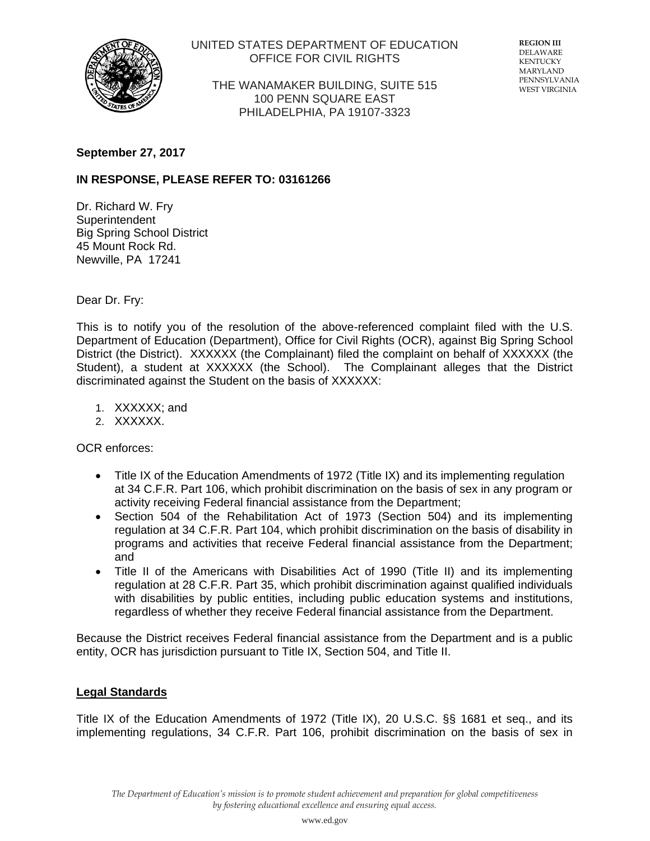

## UNITED STATES DEPARTMENT OF EDUCATION OFFICE FOR CIVIL RIGHTS

THE WANAMAKER BUILDING, SUITE 515 100 PENN SQUARE EAST PHILADELPHIA, PA 19107-3323

**REGION III** DELAWARE KENTUCKY MARYLAND PENNSYLVANIA WEST VIRGINIA

#### **September 27, 2017**

# **IN RESPONSE, PLEASE REFER TO: 03161266**

Dr. Richard W. Fry **Superintendent** Big Spring School District 45 Mount Rock Rd. Newville, PA 17241

Dear Dr. Fry:

This is to notify you of the resolution of the above-referenced complaint filed with the U.S. Department of Education (Department), Office for Civil Rights (OCR), against Big Spring School District (the District). XXXXXX (the Complainant) filed the complaint on behalf of XXXXXX (the Student), a student at XXXXXX (the School). The Complainant alleges that the District discriminated against the Student on the basis of XXXXXX:

- 1. XXXXXX; and
- 2. XXXXXX.

OCR enforces:

- Title IX of the Education Amendments of 1972 (Title IX) and its implementing regulation at 34 C.F.R. Part 106, which prohibit discrimination on the basis of sex in any program or activity receiving Federal financial assistance from the Department;
- Section 504 of the Rehabilitation Act of 1973 (Section 504) and its implementing regulation at 34 C.F.R. Part 104, which prohibit discrimination on the basis of disability in programs and activities that receive Federal financial assistance from the Department; and
- Title II of the Americans with Disabilities Act of 1990 (Title II) and its implementing regulation at 28 C.F.R. Part 35, which prohibit discrimination against qualified individuals with disabilities by public entities, including public education systems and institutions, regardless of whether they receive Federal financial assistance from the Department.

Because the District receives Federal financial assistance from the Department and is a public entity, OCR has jurisdiction pursuant to Title IX, Section 504, and Title II.

### **Legal Standards**

Title IX of the Education Amendments of 1972 (Title IX), 20 U.S.C. §§ 1681 et seq., and its implementing regulations, 34 C.F.R. Part 106, prohibit discrimination on the basis of sex in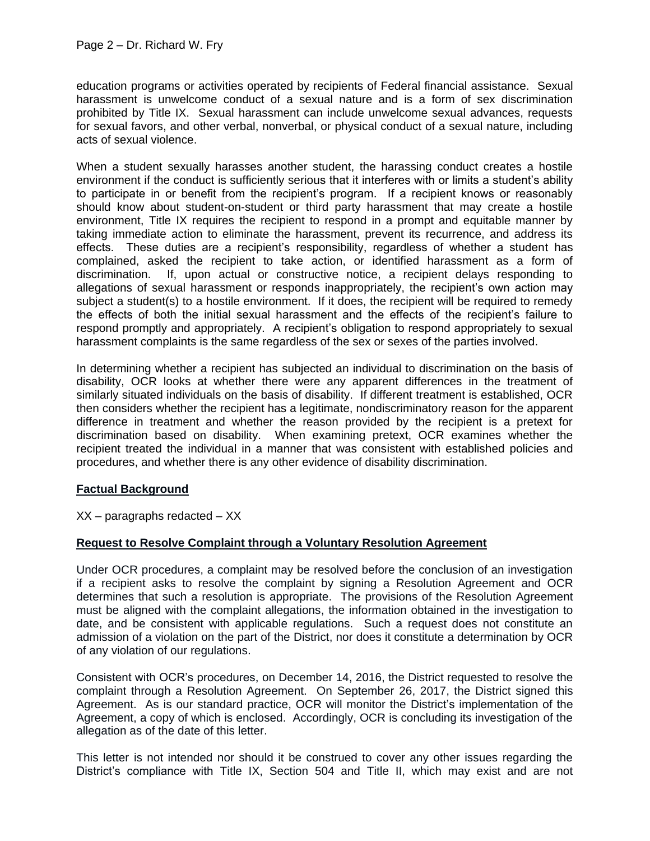education programs or activities operated by recipients of Federal financial assistance. Sexual harassment is unwelcome conduct of a sexual nature and is a form of sex discrimination prohibited by Title IX. Sexual harassment can include unwelcome sexual advances, requests for sexual favors, and other verbal, nonverbal, or physical conduct of a sexual nature, including acts of sexual violence.

When a student sexually harasses another student, the harassing conduct creates a hostile environment if the conduct is sufficiently serious that it interferes with or limits a student's ability to participate in or benefit from the recipient's program. If a recipient knows or reasonably should know about student-on-student or third party harassment that may create a hostile environment, Title IX requires the recipient to respond in a prompt and equitable manner by taking immediate action to eliminate the harassment, prevent its recurrence, and address its effects. These duties are a recipient's responsibility, regardless of whether a student has complained, asked the recipient to take action, or identified harassment as a form of discrimination. If, upon actual or constructive notice, a recipient delays responding to allegations of sexual harassment or responds inappropriately, the recipient's own action may subject a student(s) to a hostile environment. If it does, the recipient will be required to remedy the effects of both the initial sexual harassment and the effects of the recipient's failure to respond promptly and appropriately. A recipient's obligation to respond appropriately to sexual harassment complaints is the same regardless of the sex or sexes of the parties involved.

In determining whether a recipient has subjected an individual to discrimination on the basis of disability, OCR looks at whether there were any apparent differences in the treatment of similarly situated individuals on the basis of disability. If different treatment is established, OCR then considers whether the recipient has a legitimate, nondiscriminatory reason for the apparent difference in treatment and whether the reason provided by the recipient is a pretext for discrimination based on disability. When examining pretext, OCR examines whether the recipient treated the individual in a manner that was consistent with established policies and procedures, and whether there is any other evidence of disability discrimination.

### **Factual Background**

XX – paragraphs redacted – XX

# **Request to Resolve Complaint through a Voluntary Resolution Agreement**

Under OCR procedures, a complaint may be resolved before the conclusion of an investigation if a recipient asks to resolve the complaint by signing a Resolution Agreement and OCR determines that such a resolution is appropriate. The provisions of the Resolution Agreement must be aligned with the complaint allegations, the information obtained in the investigation to date, and be consistent with applicable regulations. Such a request does not constitute an admission of a violation on the part of the District, nor does it constitute a determination by OCR of any violation of our regulations.

Consistent with OCR's procedures, on December 14, 2016, the District requested to resolve the complaint through a Resolution Agreement. On September 26, 2017, the District signed this Agreement. As is our standard practice, OCR will monitor the District's implementation of the Agreement, a copy of which is enclosed. Accordingly, OCR is concluding its investigation of the allegation as of the date of this letter.

This letter is not intended nor should it be construed to cover any other issues regarding the District's compliance with Title IX, Section 504 and Title II, which may exist and are not